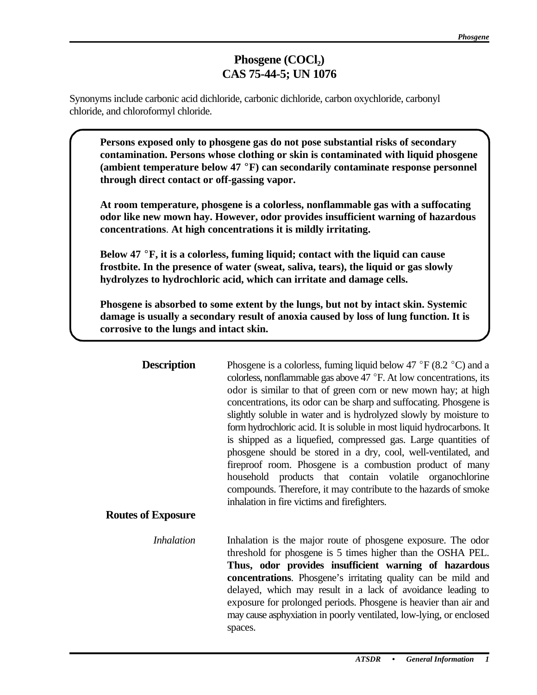# **Phosgene** (COCl<sub>2</sub>) **CAS 75-44-5; UN 1076**

Synonyms include carbonic acid dichloride, carbonic dichloride, carbon oxychloride, carbonyl chloride, and chloroformyl chloride.

Persons exposed only to phosgene gas do not pose substantial risks of secondary **contamination. Persons whose clothing or skin is contaminated with liquid phosgene**  (ambient temperature below 47 °F) can secondarily contaminate response personnel **through direct contact or off-gassing vapor.** 

C **At room temperature, phosgene is a colorless, nonflammable gas with a suffocating odor like new mown hay. However, odor provides insufficient warning of hazardous concentrations**. **At high concentrations it is mildly irritating.** 

C **Below 47** E**F, it is a colorless, fuming liquid; contact with the liquid can cause frostbite. In the presence of water (sweat, saliva, tears), the liquid or gas slowly hydrolyzes to hydrochloric acid, which can irritate and damage cells.** 

Phosgene is absorbed to some extent by the lungs, but not by intact skin. Systemic **damage is usually a secondary result of anoxia caused by loss of lung function. It is corrosive to the lungs and intact skin.** 

| <b>Description</b><br><b>Routes of Exposure</b> | Phosgene is a colorless, fuming liquid below 47 $\degree$ F (8.2 $\degree$ C) and a<br>colorless, nonflammable gas above $47 \degree$ F. At low concentrations, its<br>odor is similar to that of green corn or new mown hay; at high<br>concentrations, its odor can be sharp and suffocating. Phosgene is<br>slightly soluble in water and is hydrolyzed slowly by moisture to<br>form hydrochloric acid. It is soluble in most liquid hydrocarbons. It<br>is shipped as a liquefied, compressed gas. Large quantities of<br>phosgene should be stored in a dry, cool, well-ventilated, and<br>fireproof room. Phosgene is a combustion product of many<br>household products that contain volatile organochlorine<br>compounds. Therefore, it may contribute to the hazards of smoke<br>inhalation in fire victims and firefighters. |
|-------------------------------------------------|-----------------------------------------------------------------------------------------------------------------------------------------------------------------------------------------------------------------------------------------------------------------------------------------------------------------------------------------------------------------------------------------------------------------------------------------------------------------------------------------------------------------------------------------------------------------------------------------------------------------------------------------------------------------------------------------------------------------------------------------------------------------------------------------------------------------------------------------|
| <i>Inhalation</i>                               | Inhalation is the major route of phosgene exposure. The odor<br>threshold for phosgene is 5 times higher than the OSHA PEL.<br>Thus, odor provides insufficient warning of hazardous<br>concentrations. Phosgene's irritating quality can be mild and<br>delayed, which may result in a lack of avoidance leading to<br>exposure for prolonged periods. Phosgene is heavier than air and<br>may cause asphyxiation in poorly ventilated, low-lying, or enclosed<br>spaces.                                                                                                                                                                                                                                                                                                                                                              |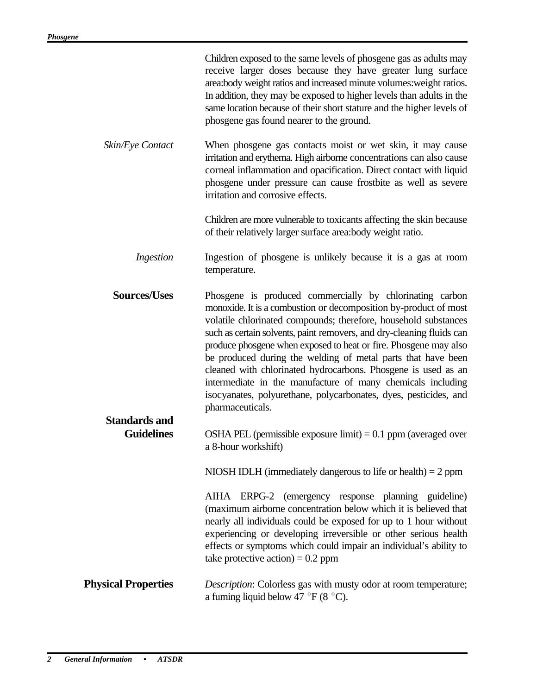|                                           | Children exposed to the same levels of phosgene gas as adults may<br>receive larger doses because they have greater lung surface<br>area:body weight ratios and increased minute volumes: weight ratios.<br>In addition, they may be exposed to higher levels than adults in the<br>same location because of their short stature and the higher levels of<br>phosgene gas found nearer to the ground.                                                                                                                                                                                                                                |
|-------------------------------------------|--------------------------------------------------------------------------------------------------------------------------------------------------------------------------------------------------------------------------------------------------------------------------------------------------------------------------------------------------------------------------------------------------------------------------------------------------------------------------------------------------------------------------------------------------------------------------------------------------------------------------------------|
| Skin/Eye Contact                          | When phosgene gas contacts moist or wet skin, it may cause<br>irritation and erythema. High airborne concentrations can also cause<br>corneal inflammation and opacification. Direct contact with liquid<br>phosgene under pressure can cause frostbite as well as severe<br>irritation and corrosive effects.                                                                                                                                                                                                                                                                                                                       |
|                                           | Children are more vulnerable to toxicants affecting the skin because<br>of their relatively larger surface area:body weight ratio.                                                                                                                                                                                                                                                                                                                                                                                                                                                                                                   |
| Ingestion                                 | Ingestion of phosgene is unlikely because it is a gas at room<br>temperature.                                                                                                                                                                                                                                                                                                                                                                                                                                                                                                                                                        |
| <b>Sources/Uses</b>                       | Phosgene is produced commercially by chlorinating carbon<br>monoxide. It is a combustion or decomposition by-product of most<br>volatile chlorinated compounds; therefore, household substances<br>such as certain solvents, paint removers, and dry-cleaning fluids can<br>produce phosgene when exposed to heat or fire. Phosgene may also<br>be produced during the welding of metal parts that have been<br>cleaned with chlorinated hydrocarbons. Phosgene is used as an<br>intermediate in the manufacture of many chemicals including<br>isocyanates, polyurethane, polycarbonates, dyes, pesticides, and<br>pharmaceuticals. |
| <b>Standards and</b><br><b>Guidelines</b> | OSHA PEL (permissible exposure limit) $= 0.1$ ppm (averaged over<br>a 8-hour workshift)                                                                                                                                                                                                                                                                                                                                                                                                                                                                                                                                              |
|                                           | NIOSH IDLH (immediately dangerous to life or health) $= 2$ ppm                                                                                                                                                                                                                                                                                                                                                                                                                                                                                                                                                                       |
|                                           | AIHA ERPG-2 (emergency response planning guideline)<br>(maximum airborne concentration below which it is believed that<br>nearly all individuals could be exposed for up to 1 hour without<br>experiencing or developing irreversible or other serious health<br>effects or symptoms which could impair an individual's ability to<br>take protective action) = $0.2$ ppm                                                                                                                                                                                                                                                            |
| <b>Physical Properties</b>                | <i>Description:</i> Colorless gas with musty odor at room temperature;<br>a fuming liquid below 47 °F (8 °C).                                                                                                                                                                                                                                                                                                                                                                                                                                                                                                                        |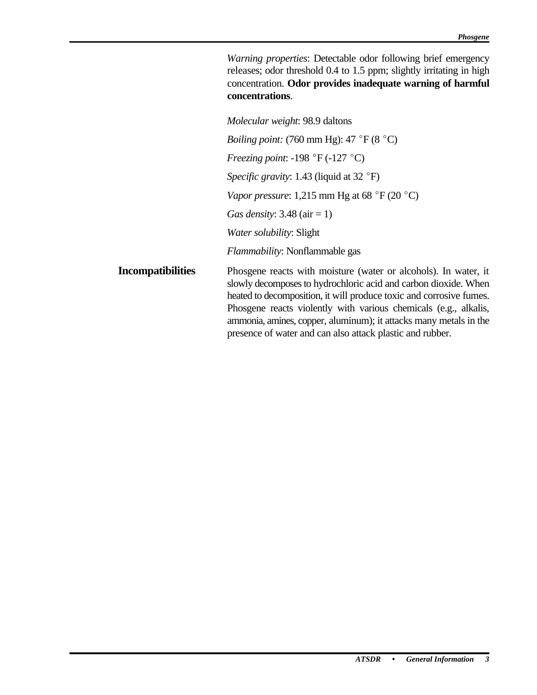*Warning properties*: Detectable odor following brief emergency releases; odor threshold 0.4 to 1.5 ppm; slightly irritating in high concentration. **Odor provides inadequate warning of harmful concentrations**.

|                          | Molecular weight: 98.9 daltons                                                                                                                                                                                                                                                                                                                                                                                  |
|--------------------------|-----------------------------------------------------------------------------------------------------------------------------------------------------------------------------------------------------------------------------------------------------------------------------------------------------------------------------------------------------------------------------------------------------------------|
|                          | <i>Boiling point:</i> (760 mm Hg): 47 °F (8 °C)                                                                                                                                                                                                                                                                                                                                                                 |
|                          | <i>Freezing point:</i> -198 °F (-127 °C)                                                                                                                                                                                                                                                                                                                                                                        |
|                          | <i>Specific gravity:</i> 1.43 (liquid at 32 °F)                                                                                                                                                                                                                                                                                                                                                                 |
|                          | Vapor pressure: 1,215 mm Hg at 68 °F (20 °C)                                                                                                                                                                                                                                                                                                                                                                    |
|                          | Gas density: $3.48$ (air = 1)                                                                                                                                                                                                                                                                                                                                                                                   |
|                          | <i>Water solubility: Slight</i>                                                                                                                                                                                                                                                                                                                                                                                 |
|                          | Flammability: Nonflammable gas                                                                                                                                                                                                                                                                                                                                                                                  |
| <b>Incompatibilities</b> | Phosgene reacts with moisture (water or alcohols). In water, it<br>slowly decomposes to hydrochloric acid and carbon dioxide. When<br>heated to decomposition, it will produce toxic and corrosive fumes.<br>Phosgene reacts violently with various chemicals (e.g., alkalis,<br>ammonia, amines, copper, aluminum); it attacks many metals in the<br>presence of water and can also attack plastic and rubber. |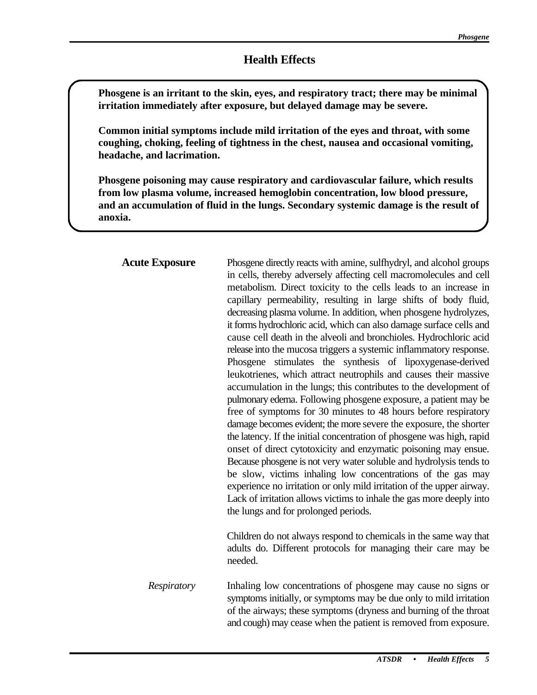Phosgene is an irritant to the skin, eyes, and respiratory tract; there may be minimal **irritation immediately after exposure, but delayed damage may be severe.** 

Common initial symptoms include mild irritation of the eyes and throat, with some **coughing, choking, feeling of tightness in the chest, nausea and occasional vomiting, headache, and lacrimation.** 

Phosgene poisoning may cause respiratory and cardiovascular failure, which results **from low plasma volume, increased hemoglobin concentration, low blood pressure, and an accumulation of fluid in the lungs. Secondary systemic damage is the result of anoxia.** 

| <b>Acute Exposure</b> | Phosgene directly reacts with amine, sulfhydryl, and alcohol groups<br>in cells, thereby adversely affecting cell macromolecules and cell<br>metabolism. Direct toxicity to the cells leads to an increase in<br>capillary permeability, resulting in large shifts of body fluid,<br>decreasing plasma volume. In addition, when phosgene hydrolyzes,<br>it forms hydrochloric acid, which can also damage surface cells and<br>cause cell death in the alveoli and bronchioles. Hydrochloric acid<br>release into the mucosa triggers a systemic inflammatory response.<br>stimulates the synthesis of lipoxygenase-derived<br>Phosgene<br>leukotrienes, which attract neutrophils and causes their massive<br>accumulation in the lungs; this contributes to the development of<br>pulmonary edema. Following phosgene exposure, a patient may be<br>free of symptoms for 30 minutes to 48 hours before respiratory<br>damage becomes evident; the more severe the exposure, the shorter<br>the latency. If the initial concentration of phosgene was high, rapid<br>onset of direct cytotoxicity and enzymatic poisoning may ensue.<br>Because phosgene is not very water soluble and hydrolysis tends to<br>be slow, victims inhaling low concentrations of the gas may<br>experience no irritation or only mild irritation of the upper airway.<br>Lack of irritation allows victims to inhale the gas more deeply into<br>the lungs and for prolonged periods.<br>Children do not always respond to chemicals in the same way that<br>adults do. Different protocols for managing their care may be |
|-----------------------|-----------------------------------------------------------------------------------------------------------------------------------------------------------------------------------------------------------------------------------------------------------------------------------------------------------------------------------------------------------------------------------------------------------------------------------------------------------------------------------------------------------------------------------------------------------------------------------------------------------------------------------------------------------------------------------------------------------------------------------------------------------------------------------------------------------------------------------------------------------------------------------------------------------------------------------------------------------------------------------------------------------------------------------------------------------------------------------------------------------------------------------------------------------------------------------------------------------------------------------------------------------------------------------------------------------------------------------------------------------------------------------------------------------------------------------------------------------------------------------------------------------------------------------------------------------------------------------------------------------|
| Respiratory           | needed.<br>Inhaling low concentrations of phosgene may cause no signs or<br>symptoms initially, or symptoms may be due only to mild irritation<br>of the airways; these symptoms (dryness and burning of the throat<br>and cough) may cease when the patient is removed from exposure.                                                                                                                                                                                                                                                                                                                                                                                                                                                                                                                                                                                                                                                                                                                                                                                                                                                                                                                                                                                                                                                                                                                                                                                                                                                                                                                    |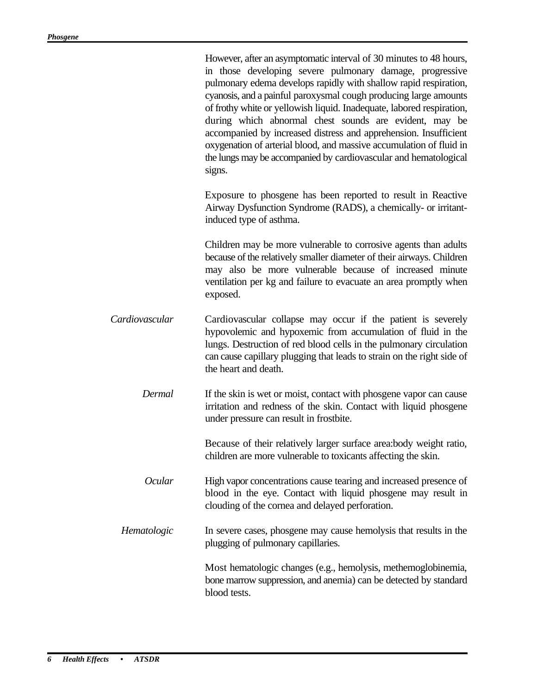|                | However, after an asymptomatic interval of 30 minutes to 48 hours,<br>in those developing severe pulmonary damage, progressive<br>pulmonary edema develops rapidly with shallow rapid respiration,<br>cyanosis, and a painful paroxysmal cough producing large amounts<br>of frothy white or yellowish liquid. Inadequate, labored respiration,<br>during which abnormal chest sounds are evident, may be<br>accompanied by increased distress and apprehension. Insufficient<br>oxygenation of arterial blood, and massive accumulation of fluid in<br>the lungs may be accompanied by cardiovascular and hematological<br>signs. |
|----------------|------------------------------------------------------------------------------------------------------------------------------------------------------------------------------------------------------------------------------------------------------------------------------------------------------------------------------------------------------------------------------------------------------------------------------------------------------------------------------------------------------------------------------------------------------------------------------------------------------------------------------------|
|                | Exposure to phosgene has been reported to result in Reactive<br>Airway Dysfunction Syndrome (RADS), a chemically- or irritant-<br>induced type of asthma.                                                                                                                                                                                                                                                                                                                                                                                                                                                                          |
|                | Children may be more vulnerable to corrosive agents than adults<br>because of the relatively smaller diameter of their airways. Children<br>may also be more vulnerable because of increased minute<br>ventilation per kg and failure to evacuate an area promptly when<br>exposed.                                                                                                                                                                                                                                                                                                                                                |
| Cardiovascular | Cardiovascular collapse may occur if the patient is severely<br>hypovolemic and hypoxemic from accumulation of fluid in the<br>lungs. Destruction of red blood cells in the pulmonary circulation<br>can cause capillary plugging that leads to strain on the right side of<br>the heart and death.                                                                                                                                                                                                                                                                                                                                |
| Dermal         | If the skin is wet or moist, contact with phosgene vapor can cause<br>irritation and redness of the skin. Contact with liquid phosgene<br>under pressure can result in frostbite.                                                                                                                                                                                                                                                                                                                                                                                                                                                  |
|                | Because of their relatively larger surface area:body weight ratio,<br>children are more vulnerable to toxicants affecting the skin.                                                                                                                                                                                                                                                                                                                                                                                                                                                                                                |
| <b>Ocular</b>  | High vapor concentrations cause tearing and increased presence of<br>blood in the eye. Contact with liquid phosgene may result in<br>clouding of the cornea and delayed perforation.                                                                                                                                                                                                                                                                                                                                                                                                                                               |
| Hematologic    | In severe cases, phosgene may cause hemolysis that results in the<br>plugging of pulmonary capillaries.                                                                                                                                                                                                                                                                                                                                                                                                                                                                                                                            |
|                | Most hematologic changes (e.g., hemolysis, methemoglobinemia,<br>bone marrow suppression, and anemia) can be detected by standard<br>blood tests.                                                                                                                                                                                                                                                                                                                                                                                                                                                                                  |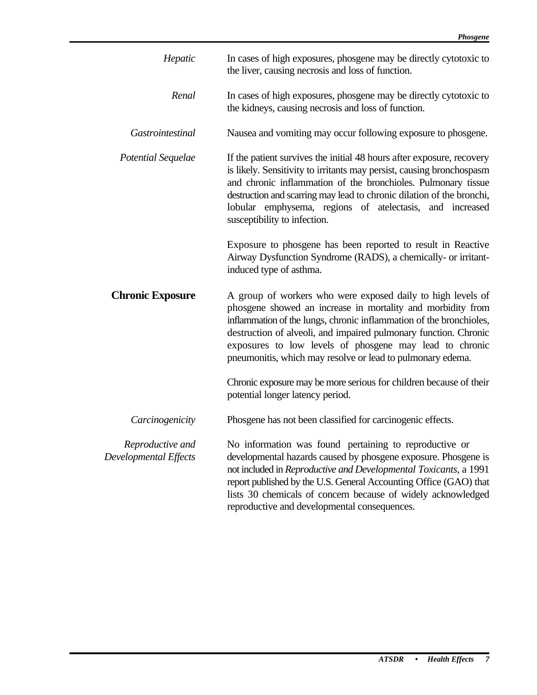| Hepatic                                   | In cases of high exposures, phosgene may be directly cytotoxic to<br>the liver, causing necrosis and loss of function.                                                                                                                                                                                                                                                                         |
|-------------------------------------------|------------------------------------------------------------------------------------------------------------------------------------------------------------------------------------------------------------------------------------------------------------------------------------------------------------------------------------------------------------------------------------------------|
| Renal                                     | In cases of high exposures, phosgene may be directly cytotoxic to<br>the kidneys, causing necrosis and loss of function.                                                                                                                                                                                                                                                                       |
| Gastrointestinal                          | Nausea and vomiting may occur following exposure to phosgene.                                                                                                                                                                                                                                                                                                                                  |
| Potential Sequelae                        | If the patient survives the initial 48 hours after exposure, recovery<br>is likely. Sensitivity to irritants may persist, causing bronchospasm<br>and chronic inflammation of the bronchioles. Pulmonary tissue<br>destruction and scarring may lead to chronic dilation of the bronchi,<br>lobular emphysema, regions of atelectasis, and increased<br>susceptibility to infection.           |
|                                           | Exposure to phosgene has been reported to result in Reactive<br>Airway Dysfunction Syndrome (RADS), a chemically- or irritant-<br>induced type of asthma.                                                                                                                                                                                                                                      |
| <b>Chronic Exposure</b>                   | A group of workers who were exposed daily to high levels of<br>phosgene showed an increase in mortality and morbidity from<br>inflammation of the lungs, chronic inflammation of the bronchioles,<br>destruction of alveoli, and impaired pulmonary function. Chronic<br>exposures to low levels of phosgene may lead to chronic<br>pneumonitis, which may resolve or lead to pulmonary edema. |
|                                           | Chronic exposure may be more serious for children because of their<br>potential longer latency period.                                                                                                                                                                                                                                                                                         |
| Carcinogenicity                           | Phosgene has not been classified for carcinogenic effects.                                                                                                                                                                                                                                                                                                                                     |
| Reproductive and<br>Developmental Effects | No information was found pertaining to reproductive or<br>developmental hazards caused by phosgene exposure. Phosgene is<br>not included in Reproductive and Developmental Toxicants, a 1991<br>report published by the U.S. General Accounting Office (GAO) that<br>lists 30 chemicals of concern because of widely acknowledged<br>reproductive and developmental consequences.              |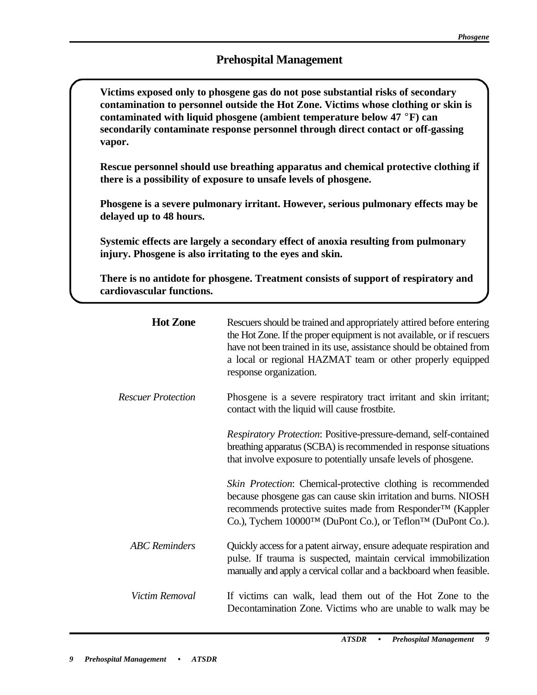# **Prehospital Management**

Victims exposed only to phosgene gas do not pose substantial risks of secondary **contamination to personnel outside the Hot Zone. Victims whose clothing or skin is contaminated with liquid phosgene (ambient temperature below 47 °F) can secondarily contaminate response personnel through direct contact or off-gassing vapor.** 

Rescue personnel should use breathing apparatus and chemical protective clothing if **there is a possibility of exposure to unsafe levels of phosgene.** 

Phosgene is a severe pulmonary irritant. However, serious pulmonary effects may be **delayed up to 48 hours.** 

C **Systemic effects are largely a secondary effect of anoxia resulting from pulmonary injury. Phosgene is also irritating to the eyes and skin.** 

There is no antidote for phosgene. Treatment consists of support of respiratory and **cardiovascular functions.** 

| <b>Hot Zone</b>           | Rescuers should be trained and appropriately attired before entering<br>the Hot Zone. If the proper equipment is not available, or if rescuers<br>have not been trained in its use, assistance should be obtained from<br>a local or regional HAZMAT team or other properly equipped<br>response organization. |
|---------------------------|----------------------------------------------------------------------------------------------------------------------------------------------------------------------------------------------------------------------------------------------------------------------------------------------------------------|
| <b>Rescuer Protection</b> | Phosgene is a severe respiratory tract irritant and skin irritant;<br>contact with the liquid will cause frostbite.                                                                                                                                                                                            |
|                           | Respiratory Protection: Positive-pressure-demand, self-contained<br>breathing apparatus (SCBA) is recommended in response situations<br>that involve exposure to potentially unsafe levels of phosgene.                                                                                                        |
|                           | Skin Protection: Chemical-protective clothing is recommended<br>because phosgene gas can cause skin irritation and burns. NIOSH<br>recommends protective suites made from Responder <sup>™</sup> (Kappler<br>Co.), Tychem 10000TM (DuPont Co.), or Teflon <sup>TM</sup> (DuPont Co.).                          |
| <b>ABC</b> Reminders      | Quickly access for a patent airway, ensure adequate respiration and<br>pulse. If trauma is suspected, maintain cervical immobilization<br>manually and apply a cervical collar and a backboard when feasible.                                                                                                  |
| Victim Removal            | If victims can walk, lead them out of the Hot Zone to the<br>Decontamination Zone. Victims who are unable to walk may be                                                                                                                                                                                       |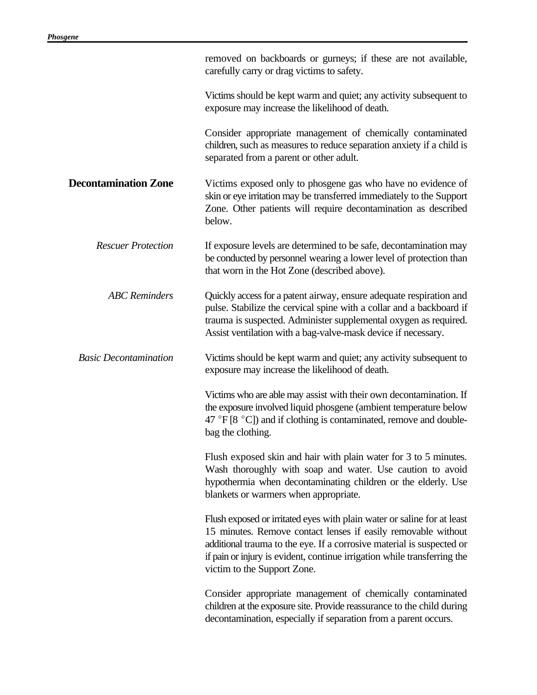|                              | removed on backboards or gurneys; if these are not available,<br>carefully carry or drag victims to safety.                                                                                                                                                                                                                  |
|------------------------------|------------------------------------------------------------------------------------------------------------------------------------------------------------------------------------------------------------------------------------------------------------------------------------------------------------------------------|
|                              | Victims should be kept warm and quiet; any activity subsequent to<br>exposure may increase the likelihood of death.                                                                                                                                                                                                          |
|                              | Consider appropriate management of chemically contaminated<br>children, such as measures to reduce separation anxiety if a child is<br>separated from a parent or other adult.                                                                                                                                               |
| <b>Decontamination Zone</b>  | Victims exposed only to phosgene gas who have no evidence of<br>skin or eye irritation may be transferred immediately to the Support<br>Zone. Other patients will require decontamination as described<br>below.                                                                                                             |
| <b>Rescuer Protection</b>    | If exposure levels are determined to be safe, decontamination may<br>be conducted by personnel wearing a lower level of protection than<br>that worn in the Hot Zone (described above).                                                                                                                                      |
| <b>ABC</b> Reminders         | Quickly access for a patent airway, ensure adequate respiration and<br>pulse. Stabilize the cervical spine with a collar and a backboard if<br>trauma is suspected. Administer supplemental oxygen as required.<br>Assist ventilation with a bag-valve-mask device if necessary.                                             |
| <b>Basic Decontamination</b> | Victims should be kept warm and quiet; any activity subsequent to<br>exposure may increase the likelihood of death.                                                                                                                                                                                                          |
|                              | Victims who are able may assist with their own decontamination. If<br>the exposure involved liquid phosgene (ambient temperature below<br>47 °F [8 °C]) and if clothing is contaminated, remove and double-<br>bag the clothing.                                                                                             |
|                              | Flush exposed skin and hair with plain water for 3 to 5 minutes.<br>Wash thoroughly with soap and water. Use caution to avoid<br>hypothermia when decontaminating children or the elderly. Use<br>blankets or warmers when appropriate.                                                                                      |
|                              | Flush exposed or irritated eyes with plain water or saline for at least<br>15 minutes. Remove contact lenses if easily removable without<br>additional trauma to the eye. If a corrosive material is suspected or<br>if pain or injury is evident, continue irrigation while transferring the<br>victim to the Support Zone. |
|                              | Consider appropriate management of chemically contaminated<br>children at the exposure site. Provide reassurance to the child during<br>decontamination, especially if separation from a parent occurs.                                                                                                                      |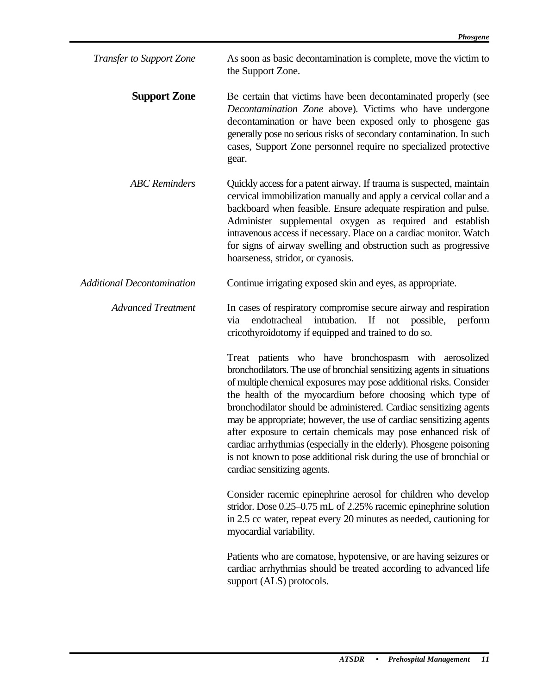| <b>Transfer to Support Zone</b> | As soon as basic decontamination is complete, move the victim to |
|---------------------------------|------------------------------------------------------------------|
|                                 | the Support Zone.                                                |

- **Support Zone**  Be certain that victims have been decontaminated properly (see *Decontamination Zone* above). Victims who have undergone decontamination or have been exposed only to phosgene gas generally pose no serious risks of secondary contamination. In such cases, Support Zone personnel require no specialized protective gear.
- *ABC Reminders*  Quickly access for a patent airway. If trauma is suspected, maintain cervical immobilization manually and apply a cervical collar and a backboard when feasible. Ensure adequate respiration and pulse. Administer supplemental oxygen as required and establish intravenous access if necessary. Place on a cardiac monitor. Watch for signs of airway swelling and obstruction such as progressive hoarseness, stridor, or cyanosis.
- *Additional Decontamination*  Continue irrigating exposed skin and eyes, as appropriate.

#### *Advanced Treatment*  In cases of respiratory compromise secure airway and respiration via endotracheal intubation. If not possible, perform cricothyroidotomy if equipped and trained to do so.

Treat patients who have bronchospasm with aerosolized bronchodilators. The use of bronchial sensitizing agents in situations of multiple chemical exposures may pose additional risks. Consider the health of the myocardium before choosing which type of bronchodilator should be administered. Cardiac sensitizing agents may be appropriate; however, the use of cardiac sensitizing agents after exposure to certain chemicals may pose enhanced risk of cardiac arrhythmias (especially in the elderly). Phosgene poisoning is not known to pose additional risk during the use of bronchial or cardiac sensitizing agents.

Consider racemic epinephrine aerosol for children who develop stridor. Dose 0.25–0.75 mL of 2.25% racemic epinephrine solution in 2.5 cc water, repeat every 20 minutes as needed, cautioning for myocardial variability.

Patients who are comatose, hypotensive, or are having seizures or cardiac arrhythmias should be treated according to advanced life support (ALS) protocols.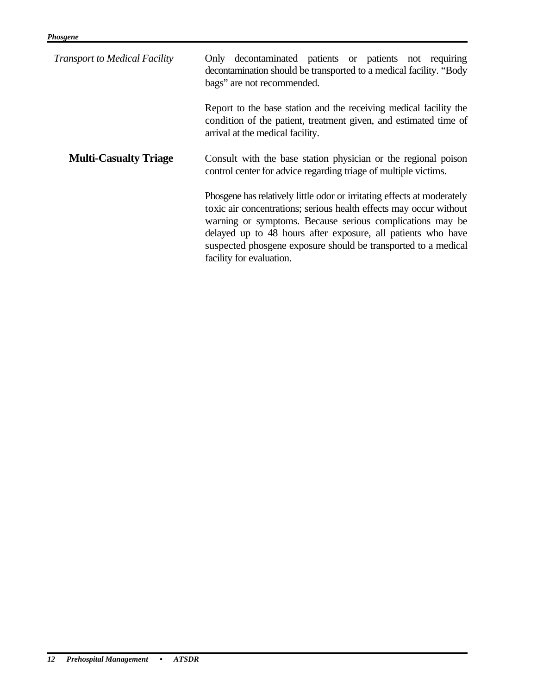| <b>Transport to Medical Facility</b> | Only decontaminated patients or patients not requiring<br>decontamination should be transported to a medical facility. "Body<br>bags" are not recommended.                                                                                                                                                                                                               |
|--------------------------------------|--------------------------------------------------------------------------------------------------------------------------------------------------------------------------------------------------------------------------------------------------------------------------------------------------------------------------------------------------------------------------|
|                                      | Report to the base station and the receiving medical facility the<br>condition of the patient, treatment given, and estimated time of<br>arrival at the medical facility.                                                                                                                                                                                                |
| <b>Multi-Casualty Triage</b>         | Consult with the base station physician or the regional poison<br>control center for advice regarding triage of multiple victims.                                                                                                                                                                                                                                        |
|                                      | Phosgene has relatively little odor or irritating effects at moderately<br>toxic air concentrations; serious health effects may occur without<br>warning or symptoms. Because serious complications may be<br>delayed up to 48 hours after exposure, all patients who have<br>suspected phosgene exposure should be transported to a medical<br>facility for evaluation. |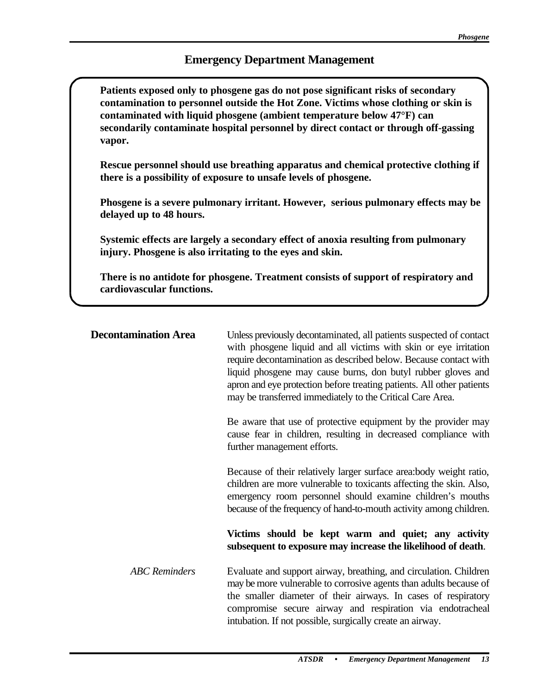# **Emergency Department Management**

Patients exposed only to phosgene gas do not pose significant risks of secondary **contamination to personnel outside the Hot Zone. Victims whose clothing or skin is contaminated with liquid phosgene (ambient temperature below 47°F) can secondarily contaminate hospital personnel by direct contact or through off-gassing vapor.** 

Rescue personnel should use breathing apparatus and chemical protective clothing if **there is a possibility of exposure to unsafe levels of phosgene.** 

Phosgene is a severe pulmonary irritant. However, serious pulmonary effects may be **delayed up to 48 hours.** 

Systemic effects are largely a secondary effect of anoxia resulting from pulmonary **injury. Phosgene is also irritating to the eyes and skin.** 

There is no antidote for phosgene. Treatment consists of support of respiratory and **cardiovascular functions.** 

| <b>Decontamination Area</b> | Unless previously decontaminated, all patients suspected of contact<br>with phosgene liquid and all victims with skin or eye irritation<br>require decontamination as described below. Because contact with<br>liquid phosgene may cause burns, don butyl rubber gloves and<br>apron and eye protection before treating patients. All other patients<br>may be transferred immediately to the Critical Care Area. |
|-----------------------------|-------------------------------------------------------------------------------------------------------------------------------------------------------------------------------------------------------------------------------------------------------------------------------------------------------------------------------------------------------------------------------------------------------------------|
|                             | Be aware that use of protective equipment by the provider may<br>cause fear in children, resulting in decreased compliance with<br>further management efforts.                                                                                                                                                                                                                                                    |
|                             | Because of their relatively larger surface area:body weight ratio,<br>children are more vulnerable to toxicants affecting the skin. Also,<br>emergency room personnel should examine children's mouths<br>because of the frequency of hand-to-mouth activity among children.                                                                                                                                      |
|                             | Victims should be kept warm and quiet; any activity<br>subsequent to exposure may increase the likelihood of death.                                                                                                                                                                                                                                                                                               |
| <b>ABC</b> Reminders        | Evaluate and support airway, breathing, and circulation. Children<br>may be more vulnerable to corrosive agents than adults because of<br>the smaller diameter of their airways. In cases of respiratory<br>compromise secure airway and respiration via endotracheal<br>intubation. If not possible, surgically create an airway.                                                                                |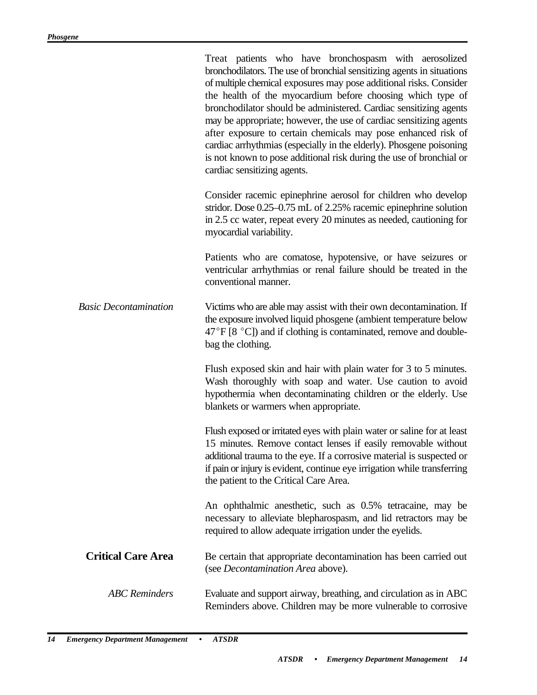|                              | Treat patients who have bronchospasm with aerosolized<br>bronchodilators. The use of bronchial sensitizing agents in situations<br>of multiple chemical exposures may pose additional risks. Consider<br>the health of the myocardium before choosing which type of<br>bronchodilator should be administered. Cardiac sensitizing agents<br>may be appropriate; however, the use of cardiac sensitizing agents<br>after exposure to certain chemicals may pose enhanced risk of<br>cardiac arrhythmias (especially in the elderly). Phosgene poisoning<br>is not known to pose additional risk during the use of bronchial or<br>cardiac sensitizing agents. |
|------------------------------|--------------------------------------------------------------------------------------------------------------------------------------------------------------------------------------------------------------------------------------------------------------------------------------------------------------------------------------------------------------------------------------------------------------------------------------------------------------------------------------------------------------------------------------------------------------------------------------------------------------------------------------------------------------|
|                              | Consider racemic epinephrine aerosol for children who develop<br>stridor. Dose 0.25–0.75 mL of 2.25% racemic epinephrine solution<br>in 2.5 cc water, repeat every 20 minutes as needed, cautioning for<br>myocardial variability.                                                                                                                                                                                                                                                                                                                                                                                                                           |
|                              | Patients who are comatose, hypotensive, or have seizures or<br>ventricular arrhythmias or renal failure should be treated in the<br>conventional manner.                                                                                                                                                                                                                                                                                                                                                                                                                                                                                                     |
| <b>Basic Decontamination</b> | Victims who are able may assist with their own decontamination. If<br>the exposure involved liquid phosgene (ambient temperature below<br>$47^{\circ}$ F [8 $^{\circ}$ C]) and if clothing is contaminated, remove and double-<br>bag the clothing.                                                                                                                                                                                                                                                                                                                                                                                                          |
|                              | Flush exposed skin and hair with plain water for 3 to 5 minutes.<br>Wash thoroughly with soap and water. Use caution to avoid<br>hypothermia when decontaminating children or the elderly. Use<br>blankets or warmers when appropriate.                                                                                                                                                                                                                                                                                                                                                                                                                      |
|                              | Flush exposed or irritated eyes with plain water or saline for at least<br>15 minutes. Remove contact lenses if easily removable without<br>additional trauma to the eye. If a corrosive material is suspected or<br>if pain or injury is evident, continue eye irrigation while transferring<br>the patient to the Critical Care Area.                                                                                                                                                                                                                                                                                                                      |
|                              | An ophthalmic anesthetic, such as 0.5% tetracaine, may be<br>necessary to alleviate blepharospasm, and lid retractors may be<br>required to allow adequate irrigation under the eyelids.                                                                                                                                                                                                                                                                                                                                                                                                                                                                     |
| <b>Critical Care Area</b>    | Be certain that appropriate decontamination has been carried out<br>(see Decontamination Area above).                                                                                                                                                                                                                                                                                                                                                                                                                                                                                                                                                        |
| <b>ABC</b> Reminders         | Evaluate and support airway, breathing, and circulation as in ABC<br>Reminders above. Children may be more vulnerable to corrosive                                                                                                                                                                                                                                                                                                                                                                                                                                                                                                                           |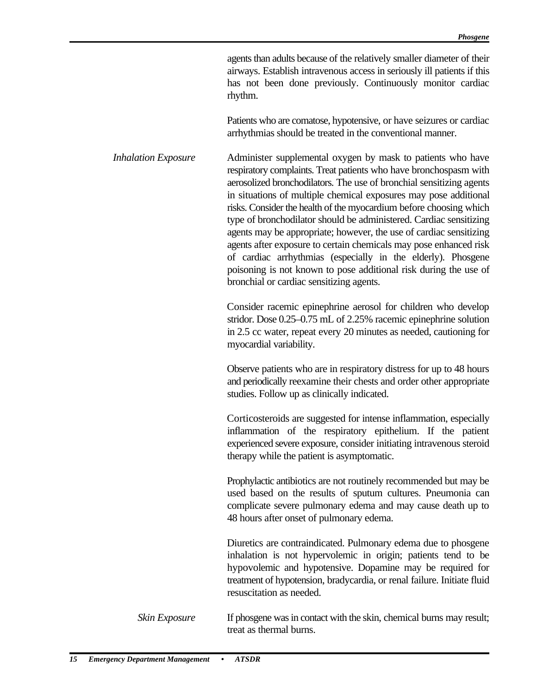agents than adults because of the relatively smaller diameter of their airways. Establish intravenous access in seriously ill patients if this has not been done previously. Continuously monitor cardiac rhythm.

Patients who are comatose, hypotensive, or have seizures or cardiac arrhythmias should be treated in the conventional manner.

*Inhalation Exposure*  Administer supplemental oxygen by mask to patients who have respiratory complaints. Treat patients who have bronchospasm with aerosolized bronchodilators. The use of bronchial sensitizing agents in situations of multiple chemical exposures may pose additional risks. Consider the health of the myocardium before choosing which type of bronchodilator should be administered. Cardiac sensitizing agents may be appropriate; however, the use of cardiac sensitizing agents after exposure to certain chemicals may pose enhanced risk of cardiac arrhythmias (especially in the elderly). Phosgene poisoning is not known to pose additional risk during the use of bronchial or cardiac sensitizing agents.

> Consider racemic epinephrine aerosol for children who develop stridor. Dose 0.25–0.75 mL of 2.25% racemic epinephrine solution in 2.5 cc water, repeat every 20 minutes as needed, cautioning for myocardial variability.

> Observe patients who are in respiratory distress for up to 48 hours and periodically reexamine their chests and order other appropriate studies. Follow up as clinically indicated.

> Corticosteroids are suggested for intense inflammation, especially inflammation of the respiratory epithelium. If the patient experienced severe exposure, consider initiating intravenous steroid therapy while the patient is asymptomatic.

> Prophylactic antibiotics are not routinely recommended but may be used based on the results of sputum cultures. Pneumonia can complicate severe pulmonary edema and may cause death up to 48 hours after onset of pulmonary edema.

> Diuretics are contraindicated. Pulmonary edema due to phosgene inhalation is not hypervolemic in origin; patients tend to be hypovolemic and hypotensive. Dopamine may be required for treatment of hypotension, bradycardia, or renal failure. Initiate fluid resuscitation as needed.

If phosgene was in contact with the skin, chemical burns may result; treat as thermal burns. *Skin Exposure*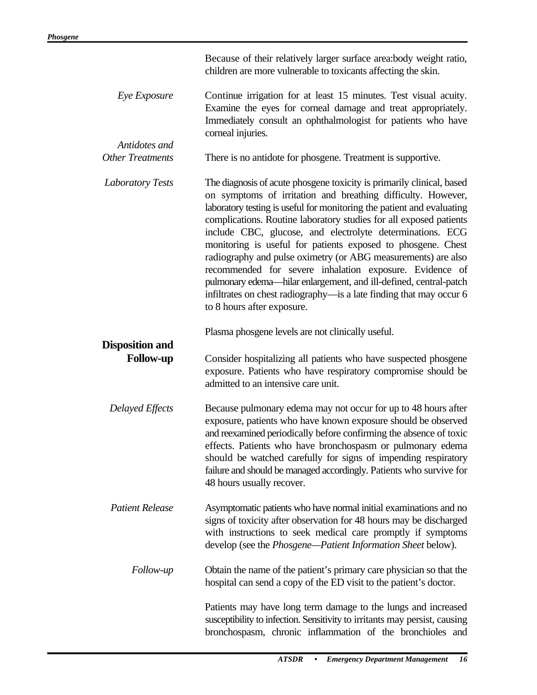|                                            | Because of their relatively larger surface area:body weight ratio,<br>children are more vulnerable to toxicants affecting the skin.                                                                                                                                                                                                                                                                                                                                                                                                                                                                                                                                                                                      |
|--------------------------------------------|--------------------------------------------------------------------------------------------------------------------------------------------------------------------------------------------------------------------------------------------------------------------------------------------------------------------------------------------------------------------------------------------------------------------------------------------------------------------------------------------------------------------------------------------------------------------------------------------------------------------------------------------------------------------------------------------------------------------------|
| Eye Exposure                               | Continue irrigation for at least 15 minutes. Test visual acuity.<br>Examine the eyes for corneal damage and treat appropriately.<br>Immediately consult an ophthalmologist for patients who have<br>corneal injuries.                                                                                                                                                                                                                                                                                                                                                                                                                                                                                                    |
| Antidotes and<br><b>Other Treatments</b>   | There is no antidote for phosgene. Treatment is supportive.                                                                                                                                                                                                                                                                                                                                                                                                                                                                                                                                                                                                                                                              |
| <b>Laboratory Tests</b>                    | The diagnosis of acute phosgene toxicity is primarily clinical, based<br>on symptoms of irritation and breathing difficulty. However,<br>laboratory testing is useful for monitoring the patient and evaluating<br>complications. Routine laboratory studies for all exposed patients<br>include CBC, glucose, and electrolyte determinations. ECG<br>monitoring is useful for patients exposed to phosgene. Chest<br>radiography and pulse oximetry (or ABG measurements) are also<br>recommended for severe inhalation exposure. Evidence of<br>pulmonary edema-hilar enlargement, and ill-defined, central-patch<br>infiltrates on chest radiography-is a late finding that may occur 6<br>to 8 hours after exposure. |
|                                            | Plasma phosgene levels are not clinically useful.                                                                                                                                                                                                                                                                                                                                                                                                                                                                                                                                                                                                                                                                        |
| <b>Disposition and</b><br><b>Follow-up</b> | Consider hospitalizing all patients who have suspected phosgene<br>exposure. Patients who have respiratory compromise should be<br>admitted to an intensive care unit.                                                                                                                                                                                                                                                                                                                                                                                                                                                                                                                                                   |
| Delayed Effects                            | Because pulmonary edema may not occur for up to 48 hours after<br>exposure, patients who have known exposure should be observed<br>and reexamined periodically before confirming the absence of toxic<br>effects. Patients who have bronchospasm or pulmonary edema<br>should be watched carefully for signs of impending respiratory<br>failure and should be managed accordingly. Patients who survive for<br>48 hours usually recover.                                                                                                                                                                                                                                                                                |
| <b>Patient Release</b>                     | Asymptomatic patients who have normal initial examinations and no<br>signs of toxicity after observation for 48 hours may be discharged<br>with instructions to seek medical care promptly if symptoms<br>develop (see the Phosgene—Patient Information Sheet below).                                                                                                                                                                                                                                                                                                                                                                                                                                                    |
| Follow-up                                  | Obtain the name of the patient's primary care physician so that the<br>hospital can send a copy of the ED visit to the patient's doctor.                                                                                                                                                                                                                                                                                                                                                                                                                                                                                                                                                                                 |
|                                            | Patients may have long term damage to the lungs and increased<br>susceptibility to infection. Sensitivity to irritants may persist, causing<br>bronchospasm, chronic inflammation of the bronchioles and                                                                                                                                                                                                                                                                                                                                                                                                                                                                                                                 |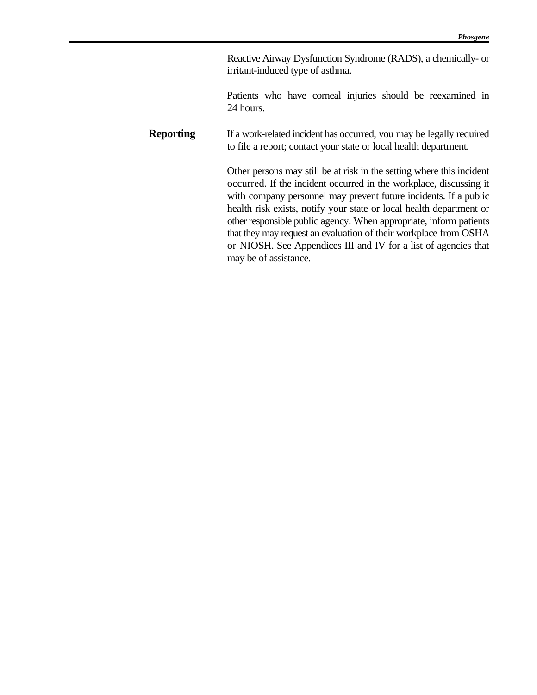Reactive Airway Dysfunction Syndrome (RADS), a chemically- or irritant-induced type of asthma.

Patients who have corneal injuries should be reexamined in 24 hours.

**Reporting** If a work-related incident has occurred, you may be legally required to file a report; contact your state or local health department.

> Other persons may still be at risk in the setting where this incident occurred. If the incident occurred in the workplace, discussing it with company personnel may prevent future incidents. If a public health risk exists, notify your state or local health department or other responsible public agency. When appropriate, inform patients that they may request an evaluation of their workplace from OSHA or NIOSH. See Appendices III and IV for a list of agencies that may be of assistance.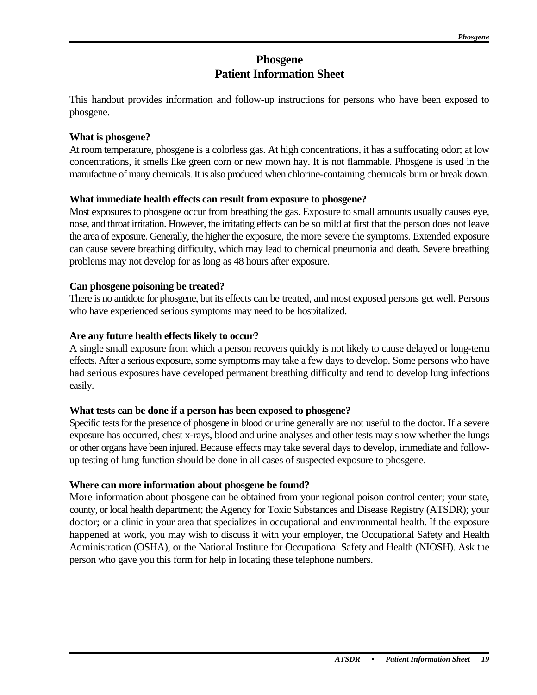# **Phosgene Patient Information Sheet**

This handout provides information and follow-up instructions for persons who have been exposed to phosgene.

### **What is phosgene?**

At room temperature, phosgene is a colorless gas. At high concentrations, it has a suffocating odor; at low concentrations, it smells like green corn or new mown hay. It is not flammable. Phosgene is used in the manufacture of many chemicals. It is also produced when chlorine-containing chemicals burn or break down.

### **What immediate health effects can result from exposure to phosgene?**

Most exposures to phosgene occur from breathing the gas. Exposure to small amounts usually causes eye, nose, and throat irritation. However, the irritating effects can be so mild at first that the person does not leave the area of exposure. Generally, the higher the exposure, the more severe the symptoms. Extended exposure can cause severe breathing difficulty, which may lead to chemical pneumonia and death. Severe breathing problems may not develop for as long as 48 hours after exposure.

### **Can phosgene poisoning be treated?**

There is no antidote for phosgene, but its effects can be treated, and most exposed persons get well. Persons who have experienced serious symptoms may need to be hospitalized.

### **Are any future health effects likely to occur?**

A single small exposure from which a person recovers quickly is not likely to cause delayed or long-term effects. After a serious exposure, some symptoms may take a few days to develop. Some persons who have had serious exposures have developed permanent breathing difficulty and tend to develop lung infections easily.

## **What tests can be done if a person has been exposed to phosgene?**

Specific tests for the presence of phosgene in blood or urine generally are not useful to the doctor. If a severe exposure has occurred, chest x-rays, blood and urine analyses and other tests may show whether the lungs or other organs have been injured. Because effects may take several days to develop, immediate and followup testing of lung function should be done in all cases of suspected exposure to phosgene.

### **Where can more information about phosgene be found?**

More information about phosgene can be obtained from your regional poison control center; your state, county, or local health department; the Agency for Toxic Substances and Disease Registry (ATSDR); your doctor; or a clinic in your area that specializes in occupational and environmental health. If the exposure happened at work, you may wish to discuss it with your employer, the Occupational Safety and Health Administration (OSHA), or the National Institute for Occupational Safety and Health (NIOSH). Ask the person who gave you this form for help in locating these telephone numbers.